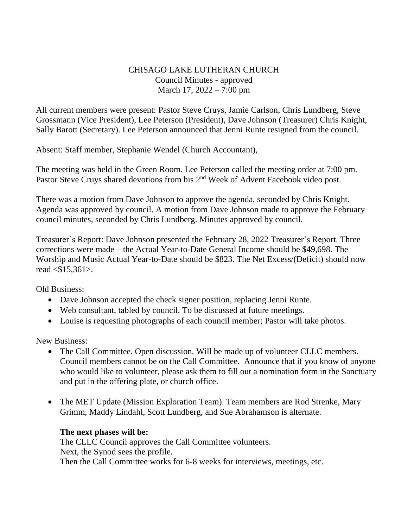## CHISAGO LAKE LUTHERAN CHURCH Council Minutes - approved March 17, 2022 – 7:00 pm

All current members were present: Pastor Steve Cruys, Jamie Carlson, Chris Lundberg, Steve Grossmann (Vice President), Lee Peterson (President), Dave Johnson (Treasurer) Chris Knight, Sally Barott (Secretary). Lee Peterson announced that Jenni Runte resigned from the council.

Absent: Staff member, Stephanie Wendel (Church Accountant),

The meeting was held in the Green Room. Lee Peterson called the meeting order at 7:00 pm. Pastor Steve Cruys shared devotions from his 2<sup>nd</sup> Week of Advent Facebook video post.

There was a motion from Dave Johnson to approve the agenda, seconded by Chris Knight. Agenda was approved by council. A motion from Dave Johnson made to approve the February council minutes, seconded by Chris Lundberg. Minutes approved by council.

Treasurer's Report: Dave Johnson presented the February 28, 2022 Treasurer's Report. Three corrections were made – the Actual Year-to-Date General Income should be \$49,698. The Worship and Music Actual Year-to-Date should be \$823. The Net Excess/(Deficit) should now read <\$15,361>.

Old Business:

- Dave Johnson accepted the check signer position, replacing Jenni Runte.
- Web consultant, tabled by council. To be discussed at future meetings.
- Louise is requesting photographs of each council member; Pastor will take photos.

New Business:

- The Call Committee. Open discussion. Will be made up of volunteer CLLC members. Council members cannot be on the Call Committee. Announce that if you know of anyone who would like to volunteer, please ask them to fill out a nomination form in the Sanctuary and put in the offering plate, or church office.
- The MET Update (Mission Exploration Team). Team members are Rod Strenke, Mary Grimm, Maddy Lindahl, Scott Lundberg, and Sue Abrahamson is alternate.

## **The next phases will be:**

The CLLC Council approves the Call Committee volunteers. Next, the Synod sees the profile. Then the Call Committee works for 6-8 weeks for interviews, meetings, etc.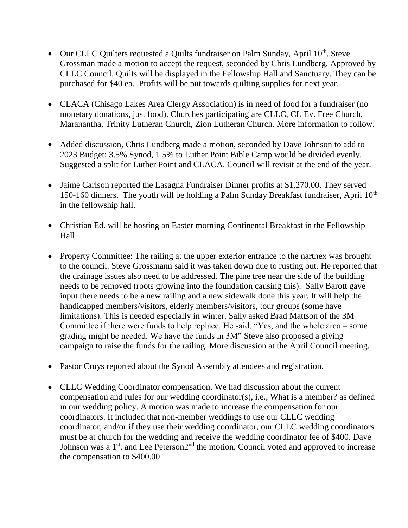- Our CLLC Quilters requested a Quilts fundraiser on Palm Sunday, April 10<sup>th</sup>. Steve Grossman made a motion to accept the request, seconded by Chris Lundberg. Approved by CLLC Council. Quilts will be displayed in the Fellowship Hall and Sanctuary. They can be purchased for \$40 ea. Profits will be put towards quilting supplies for next year.
- CLACA (Chisago Lakes Area Clergy Association) is in need of food for a fundraiser (no monetary donations, just food). Churches participating are CLLC, CL Ev. Free Church, Maranantha, Trinity Lutheran Church, Zion Lutheran Church. More information to follow.
- Added discussion, Chris Lundberg made a motion, seconded by Dave Johnson to add to 2023 Budget: 3.5% Synod, 1.5% to Luther Point Bible Camp would be divided evenly. Suggested a split for Luther Point and CLACA. Council will revisit at the end of the year.
- Jaime Carlson reported the Lasagna Fundraiser Dinner profits at \$1,270.00. They served 150-160 dinners. The youth will be holding a Palm Sunday Breakfast fundraiser, April  $10<sup>th</sup>$ in the fellowship hall.
- Christian Ed. will be hosting an Easter morning Continental Breakfast in the Fellowship Hall.
- Property Committee: The railing at the upper exterior entrance to the narthex was brought to the council. Steve Grossmann said it was taken down due to rusting out. He reported that the drainage issues also need to be addressed. The pine tree near the side of the building needs to be removed (roots growing into the foundation causing this). Sally Barott gave input there needs to be a new railing and a new sidewalk done this year. It will help the handicapped members/visitors, elderly members/visitors, tour groups (some have limitations). This is needed especially in winter. Sally asked Brad Mattson of the 3M Committee if there were funds to help replace. He said, "Yes, and the whole area – some grading might be needed. We have the funds in 3M" Steve also proposed a giving campaign to raise the funds for the railing. More discussion at the April Council meeting.
- Pastor Cruys reported about the Synod Assembly attendees and registration.
- CLLC Wedding Coordinator compensation. We had discussion about the current compensation and rules for our wedding coordinator(s), i.e., What is a member? as defined in our wedding policy. A motion was made to increase the compensation for our coordinators. It included that non-member weddings to use our CLLC wedding coordinator, and/or if they use their wedding coordinator, our CLLC wedding coordinators must be at church for the wedding and receive the wedding coordinator fee of \$400. Dave Johnson was a 1<sup>st</sup>, and Lee Peterson2<sup>nd</sup> the motion. Council voted and approved to increase the compensation to \$400.00.